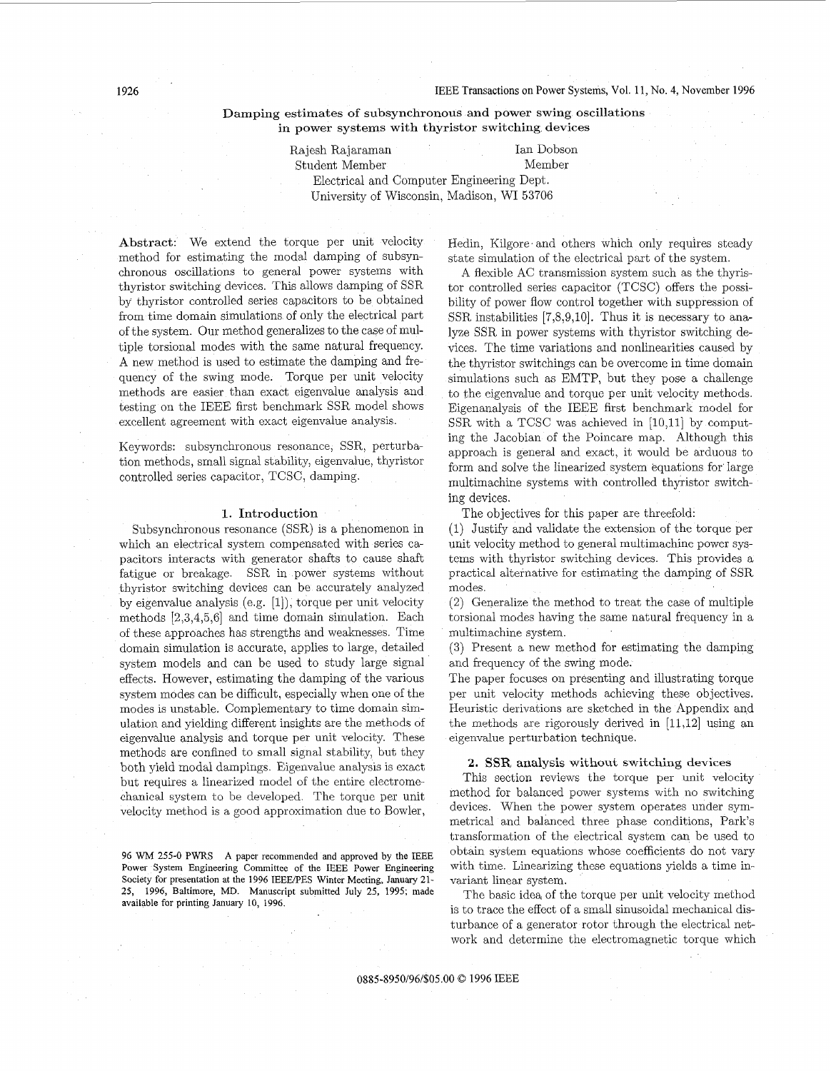Damping estimates of subsynchronous and power swing oscillations in power systems with thyristor switching devices

> Rajesh Rajaraman Ian Dobson Ian Dobson Student Member Student Member Electrical and Computer Engineering Dept. University of Wisconsin, Madison, WI 53706

Abstract: We extend the torque per unit velocity method for estimating the modal damping of subsynchronous oscillations to general power systems with thyristor switching devices. This allows damping of SSR by thyristor controlled series capacitors to be obtained from time domain simulations of only the electrical part of the system. Our method generalizes to the case of multiple torsional modes with the same natural frequency. A new method is used to estimate the damping and frequency of the swing mode. Torque per unit velocity methods are easier than exact eigenvalue analysis and testing on the IEEE first benchmark SSR model shows excellent agreement with exact eigenvalue analysis.

Keywords: subsynchronous resonance, SSR, perturbation methods, small signal stability, eigenvalue, thyristor controlled series capacitor, TCSC, damping.

### 1. Introduction

Subsynchronous resonance (SSR) is a phenomenon in which an electrical system compensated with series capacitors interacts with generator shafts to cause shaft fatigue or breakage. SSR in power systems without thyristor switching devices can be accurately analyzed by eigenvalue analysis (e.g. [l]), torque per unit velocity methods [2,3,4,5,6] and time domain simulation. Each of these approaches has strengths and weaknesses. Time domain simulation is accurate, applies to large, detailed system models and can be used to study large signal effects. However, estimating the damping of the various system modes can be difficult, especially when one of the modes is unstable. Complementary to time domain simulation and yielding different insights are the methods of eigenvalue analysis and torque per unit velocity. These methods are confined to small signal stability, but they both yield modal dampings Eigenvalue analysis is exact but requires a linearized model of the entire electromechanical system to be developed. The torque per unit velocity method is a good approximation due to Bowler,

96 WM 255-0 PWRS A paper recommended and approved by the IEEE Power System Engineering Committee of the IEEE Power Engineering Society for presentation at the 1996 IEEERES Winter Meeting, **January** 21- 25, **1996,** Baltimore, MD. Manuscript submitted July 25, 1995; made available for printing **January** 10, 1996.

Hedin, Kilgore and others which only requires steady state simulation of the electrical part of the system.

A flexible AC transmission system such as the thyristor controlled series capacitor (TCSC) offers the possibility of power flow control together with suppression of SSR instabilities [7,8,9,10]. Thus it is necessary to analyze SSR in power systems with thyristor switching devices. The time variations and nonlinearities caused by the thyristor switchings can be overcome in time domain simulations such as EMTP, but they pose a challenge to the eigenvalue and torque per unit velocity methods. Eigenanalysis of the IEEE first benchmark model for  $SSR$  with a TCSC was achieved in  $[10,11]$  by computing the Jacobian of the Poincare map. Although this approach is general and exact, it would be arduous to form and solve the linearized system equations for Iarge multimachine systems with controlled thyristor switching devices.

The objectives for this paper are threefold:

(1) Justify and validate the extension of the torque per unit velocity method to general multimachine power systems with thyristor switching devices. This provides a practical alternative for estimating the damping of SSR modes.

(2) Generalize the method to treat the case of multiple torsional modes having the same natural frequency in a multimachine system.

**(3)** Present a new method for estimating the damping and frequency of the swing mode.

The paper focuses on presenting and illustrating torque per unit velocity methods achieving these objectives. Heuristic derivations are sketched in the Appendix and the methods are rigorously derived in [11,12] using an eigenvalue perturbation technique.

### **2.** SSR analysis without switching devices

This section reviews the torque per unit velocity method for balanced power systems with no switching devices. When the power system operates under symmetrical and balanced three phase conditions, Park's transformation of the electrical system can be used to obtain system equations whose coefficients do not vary with time. Linearizing these equations yields a time invariant linear system.

The basic idea, of the torque per unit velocity method is to trace the effect of a small sinusoidal mechanical disturbance of a generator rotor through the electrical network and determine the electromagnetic torque which

0885-8950/96/\$05.00 *0* 1996 IEEE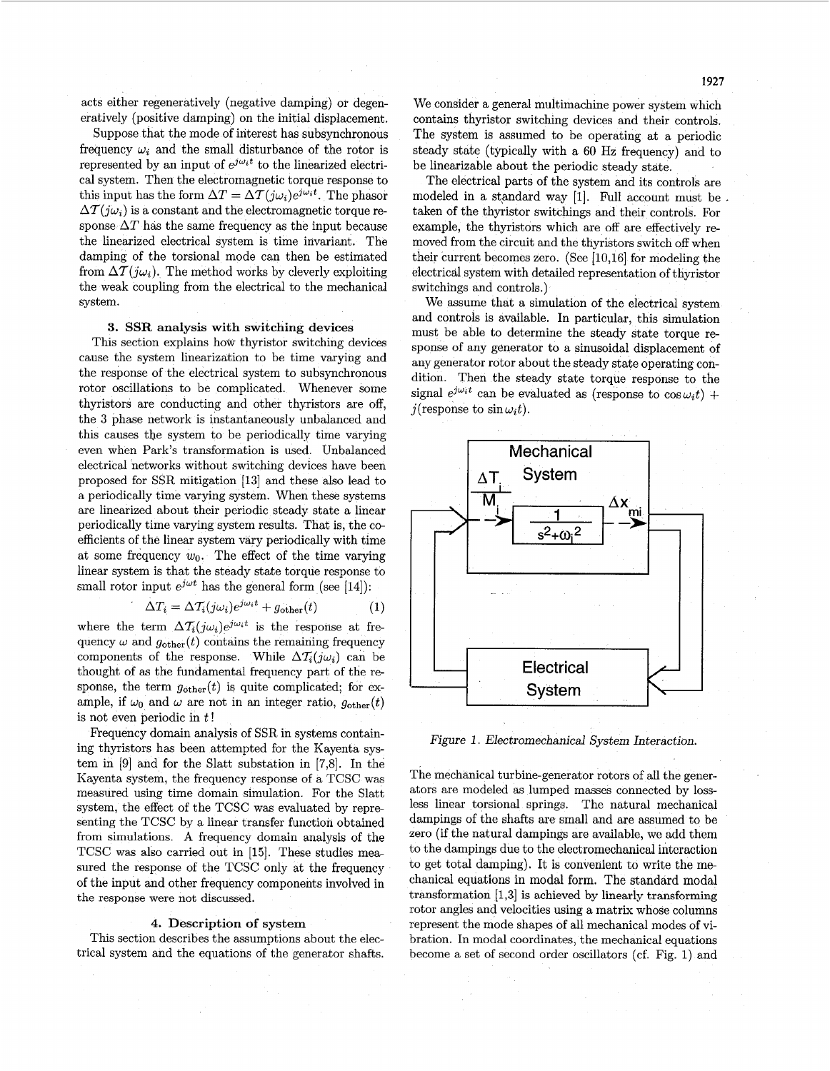acts either regenerativeiy (negative damping) or degeneratively (positive damping) on the initial displacement,

Suppose that the mode of interest has subsynchronous frequency  $\omega_i$  and the small disturbance of the rotor is represented by an input of  $e^{j\omega_i t}$  to the linearized electrical system. Then the electromagnetic torque response to this input has the form  $\Delta T = \Delta T(i\omega_i)e^{j\omega_i t}$ . The phasor  $\Delta T(i\omega_i)$  is a constant and the electromagnetic torque response  $\Delta T$  has the same frequency as the input because the linearized electrical system is time invariant. The damping of the torsional mode can then be estimated from  $\Delta T(i\omega_i)$ . The method works by cleverly exploiting the weak coupling from the electrical to the mechanical system.

## **3.** SSR analysis with switching devices

This section explains how thyristor switching devices cause the system linearization to be time varying and the response of the electrical system to subsynchronous rotor oscillations to be complicated. Whenever some thyristors are conducting and other thyristors are off, the 3 phase network is instantaneously unbalanced and this causes the system to be periodically time varying even when Park's transformation is used. Unbalanced electrical networks without switching devices have been proposed for SSR mitigation [13] and these also lead to a periodically time varying system. When these systems are linearized about their periodic steady state a linear periodically time varying system results. That is, the coefficients of the linear system vary periodically with time at some frequency  $w_0$ . The effect of the time varying linear system is that the steady state torque response to small rotor input  $e^{j\omega t}$  has the general form (see [14]):

$$
\Delta T_i = \Delta T_i (j\omega_i) e^{j\omega_i t} + g_{\text{other}}(t) \tag{1}
$$

where the term  $\Delta T_i(j\omega_i)e^{j\omega_i t}$  is the response at frequency  $\omega$  and  $g_{other}(t)$  contains the remaining frequency components of the response. While  $\Delta T_i(j\omega_i)$  can be thought of as the fundamental frequency part of the response, the term  $g_{other}(t)$  is quite complicated; for example, if  $\omega_0$  and  $\omega$  are not in an integer ratio,  $g_{other}(t)$ is not even periodic in  $t!$ 

Frequency domain analysis of SSR in systems containing thyristors has been attempted for the Kayenta system in [9] and for the Slatt substation in [7,8]. In the Kayenta system, the frequency response of a TCSC was measured using time domain simulation. For the Slatt system, the effect of the TCSC was evaluated by repre senting the TCSC by a linear transfer function obtained from simulations. **A** frequency domain analysis of the TCSC was also carried out in **[15].** These studies measured the response of the TCSC only at the frequency of the input and other frequency components involved in the response were not discussed.

# **4.** Description **of** system

This section describes the assumptions about the electrical system and the equations of the generator shafts. We consider a general multimachine power system which contains thyristor switching devices and their controls. The system is assumed to be operating at a periodic steady state (typically with a 60 Hz frequency) and to be linearizable about the periodic steady state.

The electrical parts of the system and its controls are modeled in a standard way [1]. Full account must be taken of the thyristor switchings and their controls. For example, the thyristors which are off are effectively removed from the circuit and the thyristors switch off when their current becomes zero. (See [10,16] for modeling the electrical system with detailed representation of thyristor switchings and controls.)

We assume that a simulation of the electrical system and controls is available. In particular, this simulation must be able to determine the steady state torque response of any generator to a sinusoidal displacement of any generator rotor about the steady state operating condition. Then the steady state torque response to the signal  $e^{j\omega_i t}$  can be evaluated as (response to  $\cos \omega_i t$ ) + j(response to  $\sin \omega_i t$ ).



Figure 1. Electromechanical System Interaction.

The mechanical turbine-generator rotors of all the generators are modeled as lumped masses connected by lossless linear torsional springs. The natural mechanical dampings of the shafts are small and are assumed to be zero (if the natural dampings are available, we add them to the dampings due to the electromechanical interaction to get total damping). It is convenient to write the me chanical equations in modal form. The standard modal transformation [1,3] is achieved by linearly transforming rotor angles and velocities using a matrix whose columns represent the mode shapes of all mechanical modes of vibration. In modal coordinates, the mechanical equations become a set of second order oscillators (cf. Fig. 1) and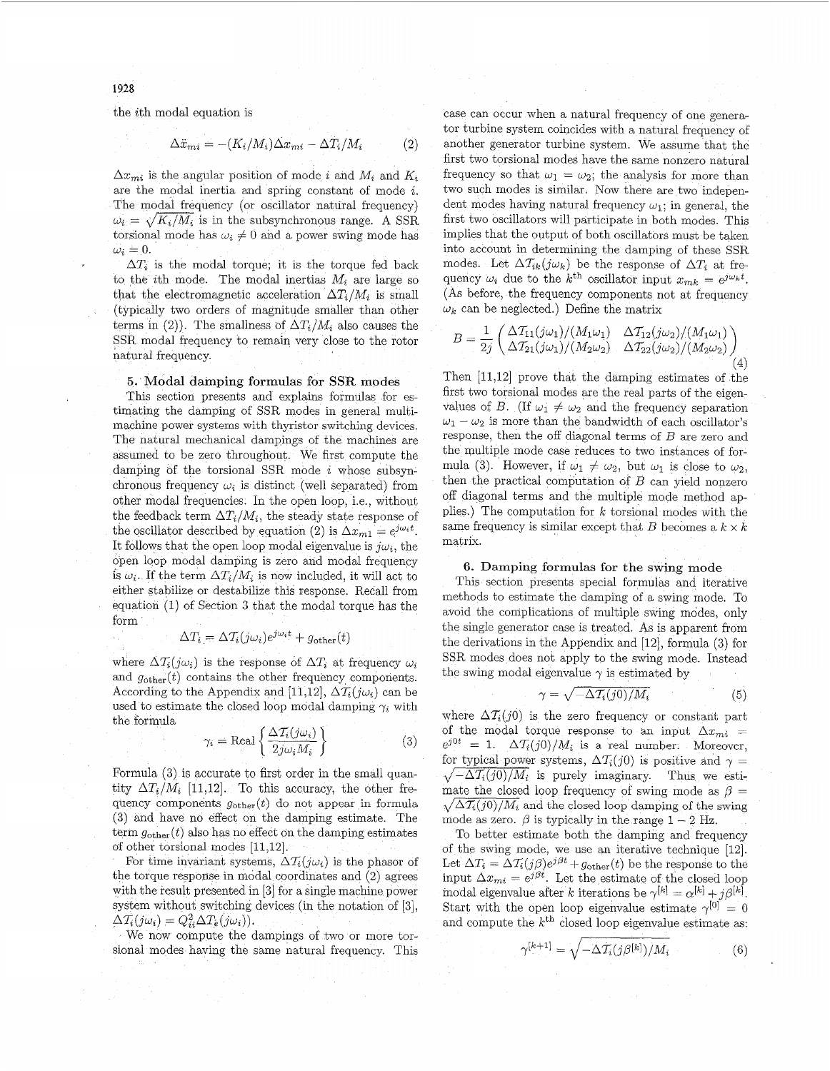the ith modal equation is

$$
\Delta \ddot{x}_{mi} = -(K_i/M_i)\Delta x_{mi} - \Delta T_i/M_i \tag{2}
$$

 $\Delta x_{mi}$  is the angular position of mode *i* and  $M_i$  and  $K_i$ are the modal inertia and spring constant of mode i. The modal frequency (or oscillator natural frequency)  $\omega_i = \sqrt{K_i/M_i}$  is in the subsynchronous range. A SSR torsional mode has  $\omega_i \neq 0$  and a power swing mode has  $\omega_i = 0.$ 

 $\Delta T_i$  is the modal torque; it is the torque fed back to the *i*th mode. The modal inertias  $M_i$  are large so that the electromagnetic acceleration  $\Delta T_i/M_i$  is small (typically two orders of magnitude smaller than other terms in (2)). The smallness of  $\Delta T_i/M_i$  also causes the SSR modal frequency to remain very close to the rotor natural frequency.

## 5. Modal damping formulas for SSR modes

This section presents and explains formulas for estimating the damping of SSR modes in general multimachine power systems with thyristor switching devices. The natural mechanical dampings of the machines are assumed to be zero throughout. We first compute the damping of the torsional SSR mode  $i$  whose subsynchronous frequency  $\omega_i$  is distinct (well separated) from other modal frequencies. In the open loop, i.e., without the feedback term  $\Delta T_i/M_i$ , the steady state response of the oscillator described by equation (2) is  $\Delta x_{m1} = e^{j\omega_i t}$ . It follows that the open loop modal eigenvalue is  $j\omega_i$ , the open loop modal damping is zero and modal frequency is  $\omega_i$ . If the term  $\Delta T_i/M_i$  is now included, it will act to either stabilize or destabilize this response. Recall from equation (1) of Section *3* that the modal torque has the form

$$
\Delta T_i = \Delta T_i (j\omega_i) e^{j\omega_i t} + g_{\text{other}}(t)
$$

where  $\Delta T_i(j\omega_i)$  is the response of  $\Delta T_i$  at frequency  $\omega_i$ and  $g_{other}(t)$  contains the other frequency components. According to the Appendix and [11,12],  $\Delta \mathcal{T}_i(j\omega_i)$  can be used to estimate the closed loop modal damping  $\gamma_i$  with the formula

$$
\gamma_i = \text{Real}\left\{\frac{\Delta \mathcal{T}_i(j\omega_i)}{2j\omega_i M_i}\right\} \tag{3}
$$

Formula **(3)** is accurate to first order in the small quantity  $\Delta T_i/M_i$  [11,12]. To this accuracy, the other frequency components  $g_{other}(t)$  do not appear in formula *(3)* and have no effect on the damping estimate. The term  $g_{other}(t)$  also has no effect on the damping estimates of other torsional modes [11,12].

For time invariant systems,  $\Delta T_i(j\omega_i)$  is the phasor of the torque response in modal coordinates and *(2)* agrees with the result presented in *[3]* for a single machine power system without switching devices (in the notation of *[3]* ,  $\Delta T_i(j\omega_i) = Q_{ii}^2 \Delta T_e(j\omega_i)).$ 

We now compute the dampings of two or more torsional modes having the same natural frequency. This case can occur when a natural frequency of one generator turbine system coincides with a natural frequency of another generator turbine system. We assume that the first two torsional modes have the same nonzero natural frequency so that  $\omega_1 = \omega_2$ ; the analysis for more than two such modes is similar. Now there are two independent modes having natural frequency  $\omega_1$ ; in general, the first two oscillators will participate in both modes. This implies that the output of both oscillators must be taken into account in determining the damping of these SSR modes. Let  $\Delta T_{ik}(j\omega_k)$  be the response of  $\Delta T_i$  at frequency  $\omega_i$  due to the  $k^{\text{th}}$  oscillator input  $x_{mk}$  = (As before, the frequency components not at frequency  $\omega_k$  can be neglected.) Define the matrix

$$
B = \frac{1}{2j} \begin{pmatrix} \Delta \mathcal{T}_{11}(j\omega_1)/(M_1\omega_1) & \Delta \mathcal{T}_{12}(j\omega_2)/(M_1\omega_1) \\ \Delta \mathcal{T}_{21}(j\omega_1)/(M_2\omega_2) & \Delta \mathcal{T}_{22}(j\omega_2)/(M_2\omega_2) \end{pmatrix} (4)
$$

Then [11,12] prove that the damping estimates of the first two torsional modes are the real parts of the eigenvalues of *B*. (If  $\omega_1 \neq \omega_2$  and the frequency separation  $\omega_1 - \omega_2$  is more than the bandwidth of each oscillator's response, then the off diagonal terms of B are zero and the multiple mode case reduces to two instances of formula (3). However, if  $\omega_1 \neq \omega_2$ , but  $\omega_1$  is close to  $\omega_2$ , then the practical computation of  $B$  can yield nonzero off diagonal terms and the multiple mode method applies.) The computation for *k* torsional modes with the same frequency is similar except that B becomes a  $k \times k$ matrix.

# **6.** Damping formulas **for** the swing mode

This section presents special formulas and iterative methods to estimate the damping of a swing mode. To avoid the complications of multiple swing modes, only the single generator case is treated. As is apparent from the derivations in the Appendix and [12], formula (3) for SSR modes does not apply to the swing mode. Instead the swing modal eigenvalue  $\gamma$  is estimated by

$$
\gamma = \sqrt{-\Delta \mathcal{T}_i(j0)/M_i} \tag{5}
$$

where  $\Delta T_i(j0)$  is the zero frequency or constant part of the modal torque response to an input  $\Delta x_{mi}$  =  $e^{j0t} = 1$ .  $\Delta T_i(j0)/M_i$  is a real number. Moreover, for typical power systems,  $\Delta T_i(j0)$  is positive and  $\gamma =$  $\sqrt{-\Delta T_i(j0)/M_i}$  is purely imaginary. Thus we estimate the closed loop frequency of swing mode as  $\beta =$  $\sqrt{\Delta \mathcal{I}_i(j0)/M_i}$  and the closed loop damping of the swing mode as zero.  $\beta$  is typically in the range  $1 - 2$  Hz.

To better estimate both the damping and frequency of the swing mode, we use an iterative technique [12]. Let  $\Delta T_i = \Delta T_i(j\beta)e^{j\beta t} + g_{other}(t)$  be the response to the input  $\Delta x_{mi} = e^{j\beta t}$ . Let the estimate of the closed loop modal eigenvalue after *k* iterations be  $\gamma^{[k]} = \alpha^{[k]} + j\beta^{[k]}.$ Start with the open loop eigenvalue estimate  $\gamma^{[0]} = 0$ and compute the  $k^{\text{th}}$  closed loop eigenvalue estimate as:

$$
\gamma^{[k+1]} = \sqrt{-\Delta \mathcal{T}_i(j\beta^{[k]})/M_i}
$$
 (6)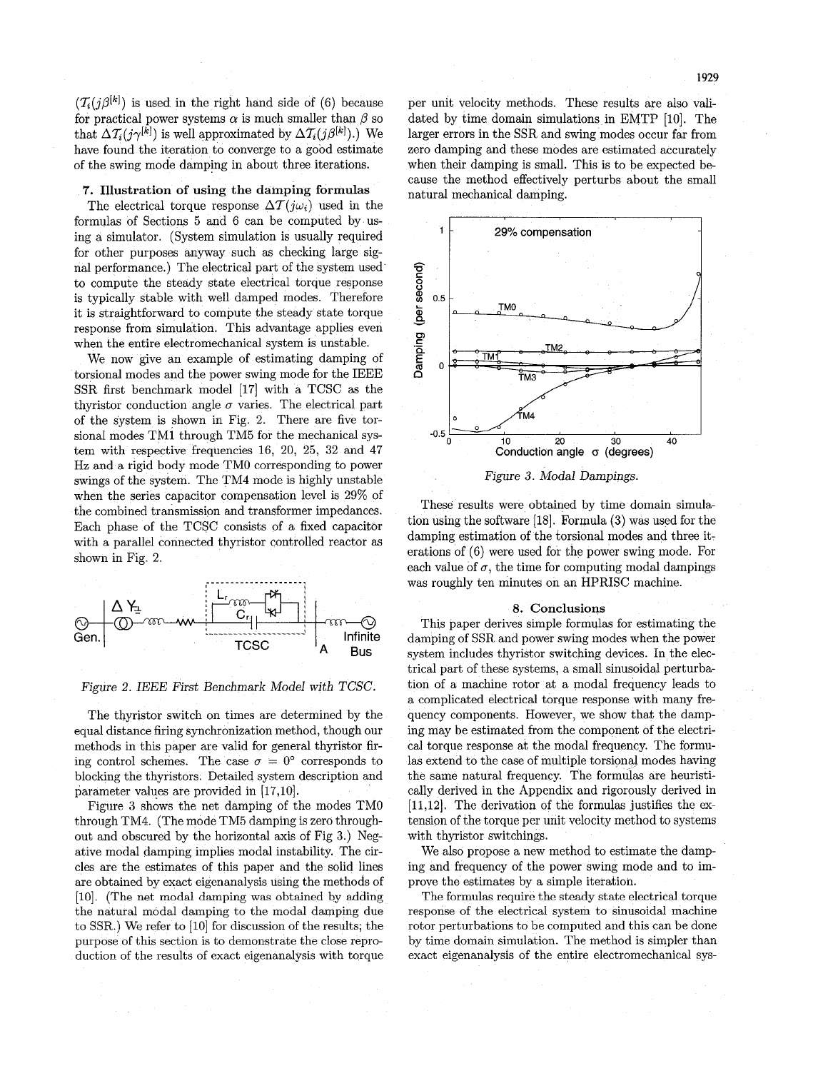$(\mathcal{T}_i(i\beta^{[k]})$  is used in the right hand side of (6) because for practical power systems  $\alpha$  is much smaller than  $\beta$  so that  $\Delta T_i(j\gamma^{[k]})$  is well approximated by  $\Delta T_i(j\beta^{[k]})$ .) We have found the iteration to converge to a good estimate of the swing mode damping in about three iterations.

# **7. Illustration of using** the **damping formulas**

The electrical torque response  $\Delta T(i\omega_i)$  used in the formulas of Sections 5 and 6 can be computed by using a simulator. (System simulation is usually required for other purposes anyway such as checking large signal performance.) The electrical part of the system used to compute the steady state electrical torque response is typically stable with well damped modes. Therefore it is straightforward to compute the steady state torque response from simulation. This advantage applies even when the entire electromechanical system is unstable.

We now give an example of estimating damping of torsional modes and the power swing mode for the IEEE SSR first benchmark model [17] with a TCSC as the thyristor conduction angle  $\sigma$  varies. The electrical part of the system is shown in Fig. 2. There are five torsional modes TM1 through TM5 for the mechanical system with respective frequencies 16, 20, 25, 32 and 47 Hz and a rigid body mode TMO corresponding to power swings of the system. The TM4 mode is highly unstable when the series capacitor compensation level is 29% of the combined transmission and transformer impedances. Each phase of the TCSC consists of a fixed capacitor with a parallel connected thyristor controlled reactor as shown in Fig. 2.





The thyristor switch on times are determined by the equal distance firing synchronization method, though our methods in this paper are valid for general thyristor firing control schemes. The case  $\sigma = 0^{\circ}$  corresponds to blocking the thyristors. Detailed system description and parameter values are provided in [17,10].

Figure **3** shows the net damping of the modes TMO through TM4. (The mode TM5 damping is zero throughout and obscured by the horizontal axis of Fig **3.)** Negative modal damping implies modal instability. The circles are the estimates of this paper and the solid lines are obtained by exact eigenanalysis using the methods of [lo]. (The net modal damping was obtained by adding the natural modal damping to the modal damping due to SSR.) We refer to [10] for discussion of the results; the purpose of this section is to demonstrate the close reproduction of the results of exact eigenanalysis with torque

per unit velocity methods. These results are also validated by time domain simulations in EMTP [lo]. The larger errors in the SSR and swing modes occur far from zero damping and these modes are estimated accurately when their damping is small. This is to be expected because the method effectively perturbs about the small natural mechanical damping.



*Figure 3. Modal Dampings.* 

These results were obtained by time domain simulation using the software [la]. Formula **(3)** was used for the damping estimation of the torsional modes and three iterations of (6) were used for the power swing mode. For each value of  $\sigma$ , the time for computing modal dampings was roughly ten minutes on an HPRISC machine.

# **8. Conclusions**

This paper derives simple formulas for estimating the damping of SSR and power swing modes when the power system includes thyristor switching devices. In the electrical part of these systems, a small sinusoidal perturbation of a machine rotor at a modal frequency leads to a complicated electrical torque response with many frequency components. However, we show that the damping may be estimated from the component of the electrical torque response at the modal frequency. The formulas extend to the case of multiple torsional modes having the same natural frequency. The formulas are heuristically derived in the Appendix and rigorously derived in [11,12]. The derivation of the formulas justifies the extension of the torque per unit velocity method to systems with thyristor switchings.

We also propose a new method to estimate the damping and frequency of the power swing mode and to improve the estimates by a simple iteration.

The formulas require the steady state electrical torque response of the electrical system to sinusoidal machine rotor perturbations to be computed and this can be done by time domain simulation. The method is simpler than exact eigenanalysis of the entire electromechanical sys